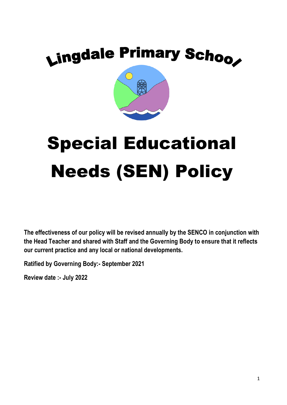# Lingdale Primary Schoo

# Special Educational Needs (SEN) Policy

**The effectiveness of our policy will be revised annually by the SENCO in conjunction with the Head Teacher and shared with Staff and the Governing Body to ensure that it reflects our current practice and any local or national developments.**

**Ratified by Governing Body:- September 2021**

**Review date :- July 2022**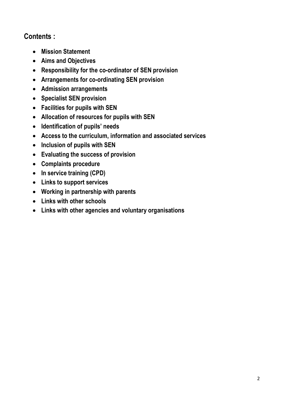# **Contents :**

- **Mission Statement**
- **Aims and Objectives**
- **Responsibility for the co-ordinator of SEN provision**
- **Arrangements for co-ordinating SEN provision**
- **Admission arrangements**
- **Specialist SEN provision**
- **Facilities for pupils with SEN**
- **Allocation of resources for pupils with SEN**
- **Identification of pupils' needs**
- **Access to the curriculum, information and associated services**
- **Inclusion of pupils with SEN**
- **Evaluating the success of provision**
- **Complaints procedure**
- **In service training (CPD)**
- **Links to support services**
- **Working in partnership with parents**
- **Links with other schools**
- **Links with other agencies and voluntary organisations**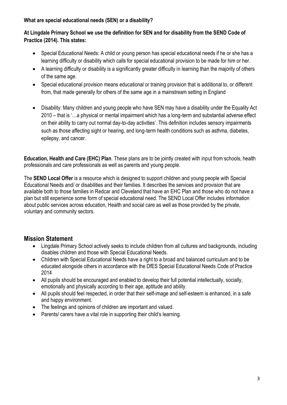#### **What are special educational needs (SEN) or a disability?**

#### **At Lingdale Primary School we use the definition for SEN and for disability from the SEND Code of Practice (2014). This states:**

- Special Educational Needs: A child or young person has special educational needs if he or she has a learning difficulty or disability which calls for special educational provision to be made for him or her.
- A learning difficulty or disability is a significantly greater difficulty in learning than the majority of others of the same age.
- Special educational provision means educational or training provision that is additional to, or different from, that made generally for others of the same age in a mainstream setting in England
- Disability: Many children and young people who have SEN may have a disability under the Equality Act 2010 – that is '…a physical or mental impairment which has a long-term and substantial adverse effect on their ability to carry out normal day-to-day activities'. This definition includes sensory impairments such as those affecting sight or hearing, and long-term health conditions such as asthma, diabetes, epilepsy, and cancer.

**Education, Health and Care (EHC) Plan**. These plans are to be jointly created with input from schools, health professionals and care professionals as well as parents and young people.

The **SEND Local Offer** is a resource which is designed to support children and young people with Special Educational Needs and/ or disabilities and their families. It describes the services and provision that are available both to those families in Redcar and Cleveland that have an EHC Plan and those who do not have a plan but still experience some form of special educational need. The SEND Local Offer includes information about public services across education, Health and social care as well as those provided by the private, voluntary and community sectors.

#### **Mission Statement**

- Lingdale Primary School actively seeks to include children from all cultures and backgrounds, including disables children and those with Special Educational Needs.
- Children with Special Educational Needs have a right to a broad and balanced curriculum and to be educated alongside others in accordance with the DfES Special Educational Needs Code of Practice 2014
- All pupils should be encouraged and enabled to develop their full potential intellectually, socially, emotionally and physically according to their age, aptitude and ability.
- All pupils should feel respected, in order that their self-image and self-esteem is enhanced, in a safe and happy environment.
- The feelings and opinions of children are important and valued.
- Parents/ carers have a vital role in supporting their child's learning.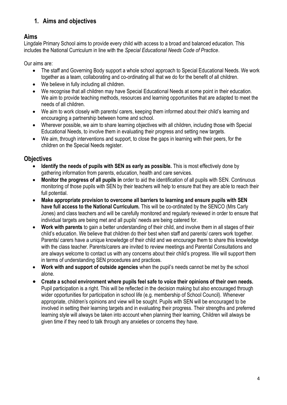# **1. Aims and objectives**

# **Aims**

Lingdale Primary School aims to provide every child with access to a broad and balanced education. This includes the National Curriculum in line with the *Special Educational Needs Code of Practice*.

Our aims are:

- The staff and Governing Body support a whole school approach to Special Educational Needs. We work together as a team, collaborating and co-ordinating all that we do for the benefit of all children.
- We believe in fully including all children.
- We recognise that all children may have Special Educational Needs at some point in their education. We aim to provide teaching methods, resources and learning opportunities that are adapted to meet the needs of all children.
- We aim to work closely with parents/ carers, keeping them informed about their child's learning and encouraging a partnership between home and school.
- Wherever possible, we aim to share learning objectives with all children, including those with Special Educational Needs, to involve them in evaluating their progress and setting new targets.
- We aim, through interventions and support, to close the gaps in learning with their peers, for the children on the Special Needs register.

# **Objectives**

- **Identify the needs of pupils with SEN as early as possible.** This is most effectively done by gathering information from parents, education, health and care services.
- **Monitor the progress of all pupils in** order to aid the identification of all pupils with SEN. Continuous monitoring of those pupils with SEN by their teachers will help to ensure that they are able to reach their full potential.
- **Make appropriate provision to overcome all barriers to learning and ensure pupils with SEN have full access to the National Curriculum.** This will be co-ordinated by the SENCO (Mrs Carly Jones) and class teachers and will be carefully monitored and regularly reviewed in order to ensure that individual targets are being met and all pupils' needs are being catered for.
- **Work with parents** to gain a better understanding of their child, and involve them in all stages of their child's education. We believe that children do their best when staff and parents/ carers work together. Parents/ carers have a unique knowledge of their child and we encourage them to share this knowledge with the class teacher. Parents/carers are invited to review meetings and Parental Consultations and are always welcome to contact us with any concerns about their child's progress. We will support them in terms of understanding SEN procedures and practices.
- **Work with and support of outside agencies** when the pupil's needs cannot be met by the school alone.
- **Create a school environment where pupils feel safe to voice their opinions of their own needs.**  Pupil participation is a right. This will be reflected in the decision making but also encouraged through wider opportunities for participation in school life (e.g. membership of School Council). Whenever appropriate, children's opinions and view will be sought. Pupils with SEN will be encouraged to be involved in setting their learning targets and in evaluating their progress. Their strengths and preferred learning style will always be taken into account when planning their learning, Children will always be given time if they need to talk through any anxieties or concerns they have.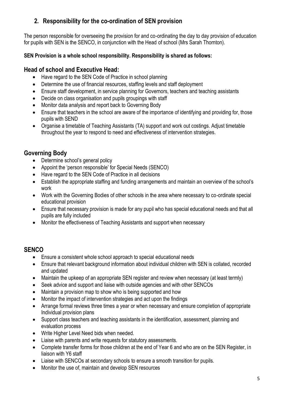# **2. Responsibility for the co-ordination of SEN provision**

The person responsible for overseeing the provision for and co-ordinating the day to day provision of education for pupils with SEN is the SENCO, in conjunction with the Head of school (Mrs Sarah Thornton).

#### **SEN Provision is a whole school responsibility. Responsibility is shared as follows:**

# **Head of school and Executive Head:**

- Have regard to the SEN Code of Practice in school planning
- Determine the use of financial resources, staffing levels and staff deployment
- Ensure staff development, in service planning for Governors, teachers and teaching assistants
- Decide on class organisation and pupils groupings with staff
- Monitor data analysis and report back to Governing Body
- Ensure that teachers in the school are aware of the importance of identifying and providing for, those pupils with SEND
- Organise a timetable of Teaching Assistants (TA) support and work out costings. Adjust timetable throughout the year to respond to need and effectiveness of intervention strategies.

# **Governing Body**

- Determine school's general policy
- Appoint the 'person responsible' for Special Needs (SENCO)
- Have regard to the SEN Code of Practice in all decisions
- Establish the appropriate staffing and funding arrangements and maintain an overview of the school's work
- Work with the Governing Bodies of other schools in the area where necessary to co-ordinate special educational provision
- Ensure that necessary provision is made for any pupil who has special educational needs and that all pupils are fully included
- Monitor the effectiveness of Teaching Assistants and support when necessary

# **SENCO**

- Ensure a consistent whole school approach to special educational needs
- Ensure that relevant background information about individual children with SEN is collated, recorded and updated
- Maintain the upkeep of an appropriate SEN register and review when necessary (at least termly)
- Seek advice and support and liaise with outside agencies and with other SENCOs
- Maintain a provision map to show who is being supported and how
- Monitor the impact of intervention strategies and act upon the findings
- Arrange formal reviews three times a year or when necessary and ensure completion of appropriate Individual provision plans
- Support class teachers and teaching assistants in the identification, assessment, planning and evaluation process
- Write Higher Level Need bids when needed.
- Liaise with parents and write requests for statutory assessments.
- Complete transfer forms for those children at the end of Year 6 and who are on the SEN Register, in liaison with Y6 staff
- Liaise with SENCOs at secondary schools to ensure a smooth transition for pupils.
- Monitor the use of, maintain and develop SEN resources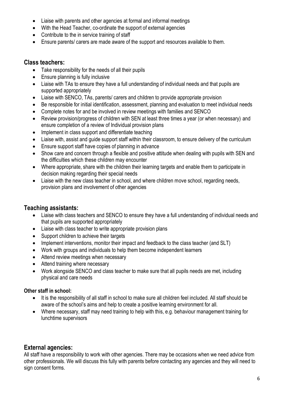- Liaise with parents and other agencies at formal and informal meetings
- With the Head Teacher, co-ordinate the support of external agencies
- Contribute to the in service training of staff
- Ensure parents/ carers are made aware of the support and resources available to them.

#### **Class teachers:**

- Take responsibility for the needs of all their pupils
- Ensure planning is fully inclusive
- Liaise with TAs to ensure they have a full understanding of individual needs and that pupils are supported appropriately
- Liaise with SENCO, TAs, parents/ carers and children to provide appropriate provision
- Be responsible for initial identification, assessment, planning and evaluation to meet individual needs
- Complete notes for and be involved in review meetings with families and SENCO
- Review provision/progress of children with SEN at least three times a year (or when necessary) and ensure completion of a review of Individual provision plans
- Implement in class support and differentiate teaching
- Liaise with, assist and guide support staff within their classroom, to ensure delivery of the curriculum
- Ensure support staff have copies of planning in advance
- Show care and concern through a flexible and positive attitude when dealing with pupils with SEN and the difficulties which these children may encounter
- Where appropriate, share with the children their learning targets and enable them to participate in decision making regarding their special needs
- Liaise with the new class teacher in school, and where children move school, regarding needs, provision plans and involvement of other agencies

# **Teaching assistants:**

- Liaise with class teachers and SENCO to ensure they have a full understanding of individual needs and that pupils are supported appropriately
- Liaise with class teacher to write appropriate provision plans
- Support children to achieve their targets
- Implement interventions, monitor their impact and feedback to the class teacher (and SLT)
- Work with groups and individuals to help them become independent learners
- Attend review meetings when necessary
- Attend training where necessary
- Work alongside SENCO and class teacher to make sure that all pupils needs are met, including physical and care needs

#### **Other staff in school:**

- It is the responsibility of all staff in school to make sure all children feel included. All staff should be aware of the school's aims and help to create a positive learning environment for all.
- Where necessary, staff may need training to help with this, e.g. behaviour management training for lunchtime supervisors

# **External agencies:**

All staff have a responsibility to work with other agencies. There may be occasions when we need advice from other professionals. We will discuss this fully with parents before contacting any agencies and they will need to sign consent forms.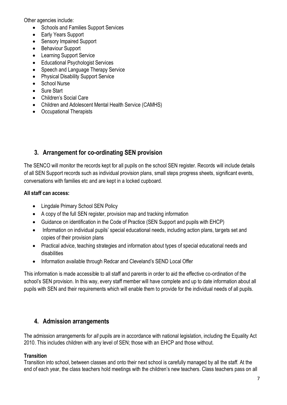Other agencies include:

- Schools and Families Support Services
- Early Years Support
- Sensory Impaired Support
- Behaviour Support
- Learning Support Service
- Educational Psychologist Services
- Speech and Language Therapy Service
- Physical Disability Support Service
- School Nurse
- Sure Start
- Children's Social Care
- Children and Adolescent Mental Health Service (CAMHS)
- Occupational Therapists

# **3. Arrangement for co-ordinating SEN provision**

The SENCO will monitor the records kept for all pupils on the school SEN register. Records will include details of all SEN Support records such as individual provision plans, small steps progress sheets, significant events, conversations with families etc and are kept in a locked cupboard.

#### **All staff can access:**

- Lingdale Primary School SEN Policy
- A copy of the full SEN register, provision map and tracking information
- Guidance on identification in the Code of Practice (SEN Support and pupils with EHCP)
- Information on individual pupils' special educational needs, including action plans, targets set and copies of their provision plans
- Practical advice, teaching strategies and information about types of special educational needs and disabilities
- Information available through Redcar and Cleveland's SEND Local Offer

This information is made accessible to all staff and parents in order to aid the effective co-ordination of the school's SEN provision. In this way, every staff member will have complete and up to date information about all pupils with SEN and their requirements which will enable them to provide for the individual needs of all pupils.

# **4. Admission arrangements**

The admission arrangements for *all* pupils are in accordance with national legislation, including the Equality Act 2010. This includes children with any level of SEN; those with an EHCP and those without.

#### **Transition**

Transition into school, between classes and onto their next school is carefully managed by all the staff. At the end of each year, the class teachers hold meetings with the children's new teachers. Class teachers pass on all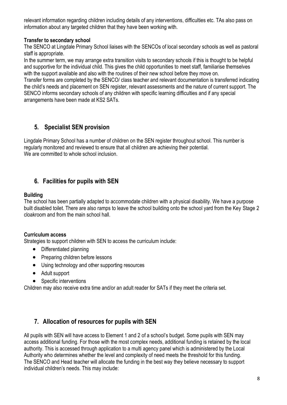relevant information regarding children including details of any interventions, difficulties etc. TAs also pass on information about any targeted children that they have been working with.

#### **Transfer to secondary school**

The SENCO at Lingdale Primary School liaises with the SENCOs of local secondary schools as well as pastoral staff is appropriate.

In the summer term, we may arrange extra transition visits to secondary schools if this is thought to be helpful and supportive for the individual child. This gives the child opportunities to meet staff, familiarise themselves with the support available and also with the routines of their new school before they move on.

Transfer forms are completed by the SENCO/ class teacher and relevant documentation is transferred indicating the child's needs and placement on SEN register, relevant assessments and the nature of current support. The SENCO informs secondary schools of any children with specific learning difficulties and if any special arrangements have been made at KS2 SATs.

# **5. Specialist SEN provision**

Lingdale Primary School has a number of children on the SEN register throughout school. This number is regularly monitored and reviewed to ensure that all children are achieving their potential. We are committed to whole school inclusion.

# **6. Facilities for pupils with SEN**

#### **Building**

The school has been partially adapted to accommodate children with a physical disability. We have a purpose built disabled toilet. There are also ramps to leave the school building onto the school yard from the Key Stage 2 cloakroom and from the main school hall.

#### **Curriculum access**

Strategies to support children with SEN to access the curriculum include:

- Differentiated planning
- Preparing children before lessons
- Using technology and other supporting resources
- Adult support
- Specific interventions

Children may also receive extra time and/or an adult reader for SATs if they meet the criteria set.

# **7. Allocation of resources for pupils with SEN**

All pupils with SEN will have access to Element 1 and 2 of a school's budget. Some pupils with SEN may access additional funding. For those with the most complex needs, additional funding is retained by the local authority. This is accessed through application to a multi agency panel which is administered by the Local Authority who determines whether the level and complexity of need meets the threshold for this funding. The SENCO and Head teacher will allocate the funding in the best way they believe necessary to support individual children's needs. This may include: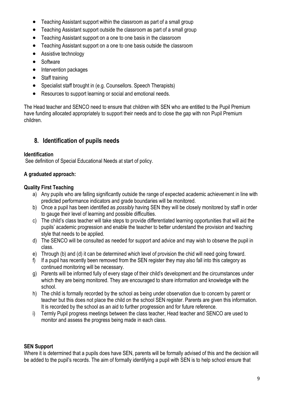- Teaching Assistant support within the classroom as part of a small group
- Teaching Assistant support outside the classroom as part of a small group
- Teaching Assistant support on a one to one basis in the classroom
- Teaching Assistant support on a one to one basis outside the classroom
- Assistive technology
- Software
- Intervention packages
- Staff training
- Specialist staff brought in (e.g. Counsellors. Speech Therapists)
- Resources to support learning or social and emotional needs.

The Head teacher and SENCO need to ensure that children with SEN who are entitled to the Pupil Premium have funding allocated appropriately to support their needs and to close the gap with non Pupil Premium children.

# **8. Identification of pupils needs**

#### **Identification**

See definition of Special Educational Needs at start of policy.

#### **A graduated approach:**

#### **Quality First Teaching**

- a) Any pupils who are falling significantly outside the range of expected academic achievement in line with predicted performance indicators and grade boundaries will be monitored.
- b) Once a pupil has been identified as *possibly* having SEN they will be closely monitored by staff in order to gauge their level of learning and possible difficulties.
- c) The child's class teacher will take steps to provide differentiated learning opportunities that will aid the pupils' academic progression and enable the teacher to better understand the provision and teaching style that needs to be applied.
- d) The SENCO will be consulted as needed for support and advice and may wish to observe the pupil in class.
- e) Through (b) and (d) it can be determined which level of provision the chid will need going forward.
- f) If a pupil has recently been removed from the SEN register they may also fall into this category as continued monitoring will be necessary.
- g) Parents will be informed fully of every stage of their child's development and the circumstances under which they are being monitored. They are encouraged to share information and knowledge with the school.
- h) The child is formally recorded by the school as being under observation due to concern by parent or teacher but this does not place the child on the school SEN register. Parents are given this information. It is recorded by the school as an aid to further progression and for future reference.
- i) Termly Pupil progress meetings between the class teacher, Head teacher and SENCO are used to monitor and assess the progress being made in each class.

# **SEN Support**

Where it is determined that a pupils does have SEN, parents will be formally advised of this and the decision will be added to the pupil's records. The aim of formally identifying a pupil with SEN is to help school ensure that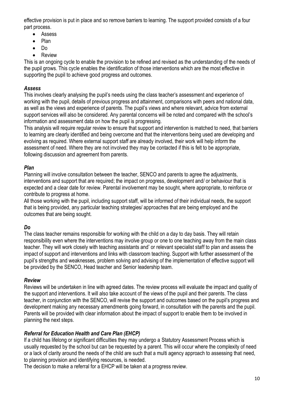effective provision is put in place and so remove barriers to learning. The support provided consists of a four part process.

- Assess
- Plan
- Do
- Review

This is an ongoing cycle to enable the provision to be refined and revised as the understanding of the needs of the pupil grows. This cycle enables the identification of those interventions which are the most effective in supporting the pupil to achieve good progress and outcomes.

#### *Assess*

This involves clearly analysing the pupil's needs using the class teacher's assessment and experience of working with the pupil, details of previous progress and attainment, comparisons with peers and national data, as well as the views and experience of parents. The pupil's views and where relevant, advice from external support services will also be considered. Any parental concerns will be noted and compared with the school's information and assessment data on how the pupil is progressing.

This analysis will require regular review to ensure that support and intervention is matched to need, that barriers to learning are clearly identified and being overcome and that the interventions being used are developing and evolving as required. Where external support staff are already involved, their work will help inform the assessment of need. Where they are not involved they may be contacted if this is felt to be appropriate, following discussion and agreement from parents.

#### *Plan*

Planning will involve consultation between the teacher, SENCO and parents to agree the adjustments, interventions and support that are required; the impact on progress, development and/ or behaviour that is expected and a clear date for review. Parental involvement may be sought, where appropriate, to reinforce or contribute to progress at home.

All those working with the pupil, including support staff, will be informed of their individual needs, the support that is being provided, any particular teaching strategies/ approaches that are being employed and the outcomes that are being sought.

# *Do*

The class teacher remains responsible for working with the child on a day to day basis. They will retain responsibility even where the interventions may involve group or one to one teaching away from the main class teacher. They will work closely with teaching assistants and' or relevant specialist staff to plan and assess the impact of support and interventions and links with classroom teaching. Support with further assessment of the pupil's strengths and weaknesses, problem solving and advising of the implementation of effective support will be provided by the SENCO, Head teacher and Senior leadership team.

#### *Review*

Reviews will be undertaken in line with agreed dates. The review process will evaluate the impact and quality of the support and interventions. It will also take account of the views of the pupil and their parents. The class teacher, in conjunction with the SENCO, will revise the support and outcomes based on the pupil's progress and development making any necessary amendments going forward, in consultation with the parents and the pupil. Parents will be provided with clear information about the impact of support to enable them to be involved in planning the next steps.

#### *Referral for Education Health and Care Plan (EHCP)*

If a child has lifelong or significant difficulties they may undergo a Statutory Assessment Process which is usually requested by the school but can be requested by a parent. This will occur where the complexity of need or a lack of clarity around the needs of the child are such that a multi agency approach to assessing that need, to planning provision and identifying resources, is needed.

The decision to make a referral for a EHCP will be taken at a progress review.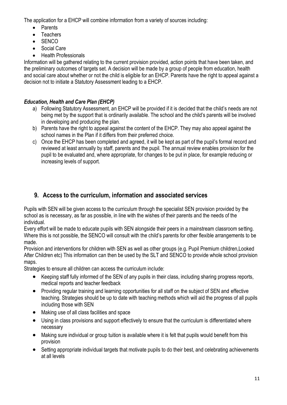The application for a EHCP will combine information from a variety of sources including:

- Parents
- Teachers
- SENCO
- Social Care
- Health Professionals

Information will be gathered relating to the current provision provided, action points that have been taken, and the preliminary outcomes of targets set. A decision will be made by a group of people from education, health and social care about whether or not the child is eligible for an EHCP. Parents have the right to appeal against a decision not to initiate a Statutory Assessment leading to a EHCP.

# *Education, Health and Care Plan (EHCP)*

- a) Following Statutory Assessment, an EHCP will be provided if it is decided that the child's needs are not being met by the support that is ordinarily available. The school and the child's parents will be involved in developing and producing the plan.
- b) Parents have the right to appeal against the content of the EHCP. They may also appeal against the school names in the Plan if it differs from their preferred choice.
- c) Once the EHCP has been completed and agreed, it will be kept as part of the pupil's formal record and reviewed at least annually by staff, parents and the pupil. The annual review enables provision for the pupil to be evaluated and, where appropriate, for changes to be put in place, for example reducing or increasing levels of support.

# **9. Access to the curriculum, information and associated services**

Pupils with SEN will be given access to the curriculum through the specialist SEN provision provided by the school as is necessary, as far as possible, in line with the wishes of their parents and the needs of the individual.

Every effort will be made to educate pupils with SEN alongside their peers in a mainstream classroom setting. Where this is not possible, the SENCO will consult with the child's parents for other flexible arrangements to be made.

Provision and interventions for children with SEN as well as other groups (e.g. Pupil Premium children,Looked After Children etc) This information can then be used by the SLT and SENCO to provide whole school provision maps.

Strategies to ensure all children can access the curriculum include:

- Keeping staff fully informed of the SEN of any pupils in their class, including sharing progress reports, medical reports and teacher feedback
- Providing regular training and learning opportunities for all staff on the subject of SEN and effective teaching. Strategies should be up to date with teaching methods which will aid the progress of all pupils including those with SEN
- Making use of all class facilities and space
- Using in class provisions and support effectively to ensure that the curriculum is differentiated where necessary
- Making sure individual or group tuition is available where it is felt that pupils would benefit from this provision
- Setting appropriate individual targets that motivate pupils to do their best, and celebrating achievements at all levels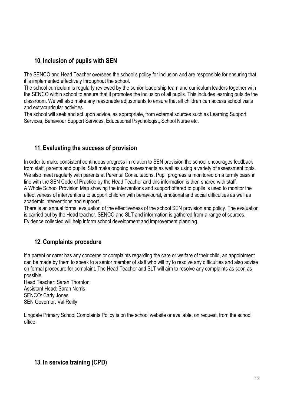# **10. Inclusion of pupils with SEN**

The SENCO and Head Teacher oversees the school's policy for inclusion and are responsible for ensuring that it is implemented effectively throughout the school.

The school curriculum is regularly reviewed by the senior leadership team and curriculum leaders together with the SENCO within school to ensure that it promotes the inclusion of all pupils. This includes learning outside the classroom. We will also make any reasonable adjustments to ensure that all children can access school visits and extracurricular activities.

The school will seek and act upon advice, as appropriate, from external sources such as Learning Support Services, Behaviour Support Services, Educational Psychologist, School Nurse etc.

# **11. Evaluating the success of provision**

In order to make consistent continuous progress in relation to SEN provision the school encourages feedback from staff, parents and pupils. Staff make ongoing assessments as well as using a variety of assessment tools. We also meet regularly with parents at Parental Consultations. Pupil progress is monitored on a termly basis in line with the SEN Code of Practice by the Head Teacher and this information is then shared with staff. A Whole School Provision Map showing the interventions and support offered to pupils is used to monitor the effectiveness of interventions to support children with behavioural, emotional and social difficulties as well as academic interventions and support.

There is an annual formal evaluation of the effectiveness of the school SEN provision and policy. The evaluation is carried out by the Head teacher, SENCO and SLT and information is gathered from a range of sources. Evidence collected will help inform school development and improvement planning.

# **12. Complaints procedure**

If a parent or carer has any concerns or complaints regarding the care or welfare of their child, an appointment can be made by them to speak to a senior member of staff who will try to resolve any difficulties and also advise on formal procedure for complaint. The Head Teacher and SLT will aim to resolve any complaints as soon as possible.

Head Teacher: Sarah Thornton Assistant Head: Sarah Norris SENCO: Carly Jones SEN Governor: Val Reilly

Lingdale Primary School Complaints Policy is on the school website or available, on request, from the school office.

# **13. In service training (CPD)**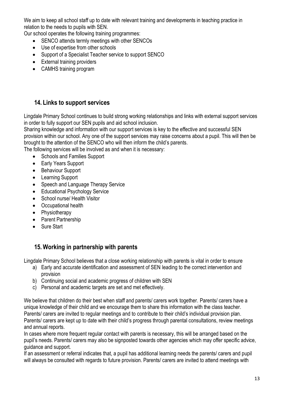We aim to keep all school staff up to date with relevant training and developments in teaching practice in relation to the needs to pupils with SEN.

Our school operates the following training programmes:

- SENCO attends termly meetings with other SENCOs
- Use of expertise from other schools
- Support of a Specialist Teacher service to support SENCO
- External training providers
- CAMHS training program

#### **14. Links to support services**

Lingdale Primary School continues to build strong working relationships and links with external support services in order to fully support our SEN pupils and aid school inclusion.

Sharing knowledge and information with our support services is key to the effective and successful SEN provision within our school. Any one of the support services may raise concerns about a pupil. This will then be brought to the attention of the SENCO who will then inform the child's parents.

The following services will be involved as and when it is necessary:

- Schools and Families Support
- Early Years Support
- Behaviour Support
- Learning Support
- Speech and Language Therapy Service
- Educational Psychology Service
- School nurse/ Health Visitor
- Occupational health
- Physiotherapy
- Parent Partnership
- Sure Start

#### **15. Working in partnership with parents**

Lingdale Primary School believes that a close working relationship with parents is vital in order to ensure

- a) Early and accurate identification and assessment of SEN leading to the correct intervention and provision
- b) Continuing social and academic progress of children with SEN
- c) Personal and academic targets are set and met effectively.

We believe that children do their best when staff and parents/ carers work together. Parents/ carers have a unique knowledge of their child and we encourage them to share this information with the class teacher. Parents/ carers are invited to regular meetings and to contribute to their child's individual provision plan. Parents/ carers are kept up to date with their child's progress through parental consultations, review meetings and annual reports.

In cases where more frequent regular contact with parents is necessary, this will be arranged based on the pupil's needs. Parents/ carers may also be signposted towards other agencies which may offer specific advice, guidance and support.

If an assessment or referral indicates that, a pupil has additional learning needs the parents/ carers and pupil will always be consulted with regards to future provision. Parents/ carers are invited to attend meetings with